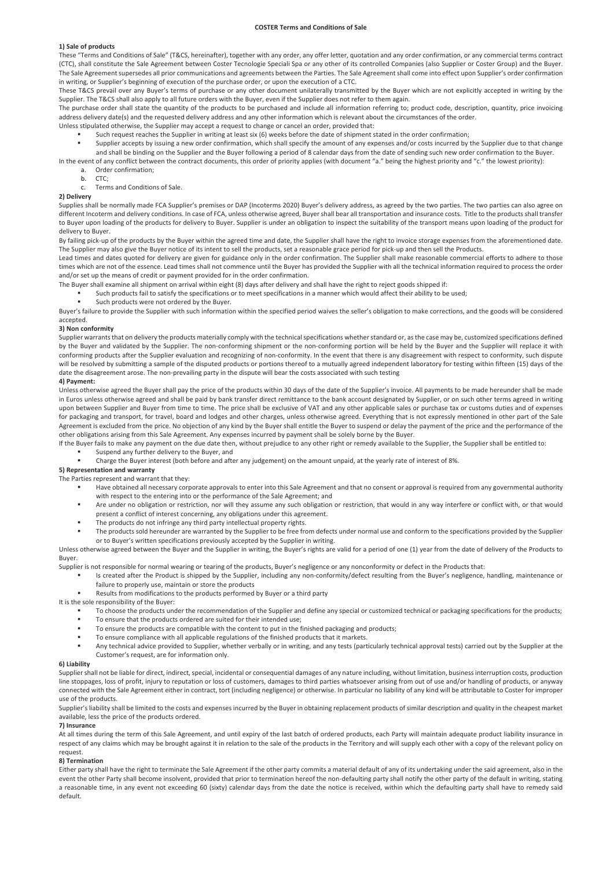#### **COSTER Terms and Conditions of Sale**

### **1) Sale of products**

These "Terms and Conditions of Sale" (T&CS, hereinafter), together with any order, any offer letter, quotation and any order confirmation, or any commercial terms contract (CTC), shall constitute the Sale Agreement between Coster Tecnologie Speciali Spa or any other of its controlled Companies (also Supplier or Coster Group) and the Buyer. The Sale Agreement supersedes all prior communications and agreements between the Parties. The Sale Agreement shall come into effect upon Supplier's order confirmation in writing, or Supplier's beginning of execution of the purchase order, or upon the execution of a CTC.

These T&CS prevail over any Buyer's terms of purchase or any other document unilaterally transmitted by the Buyer which are not explicitly accepted in writing by the Supplier. The T&CS shall also apply to all future orders with the Buyer, even if the Supplier does not refer to them again.

The purchase order shall state the quantity of the products to be purchased and include all information referring to; product code, description, quantity, price invoicing address delivery date(s) and the requested delivery address and any other information which is relevant about the circumstances of the order.

- Unless stipulated otherwise, the Supplier may accept a request to change or cancel an order, provided that:
	- Such request reaches the Supplier in writing at least six (6) weeks before the date of shipment stated in the order confirmation;
	- Supplier accepts by issuing a new order confirmation, which shall specify the amount of any expenses and/or costs incurred by the Supplier due to that change and shall be binding on the Supplier and the Buyer following a period of 8 calendar days from the date of sending such new order confirmation to the Buyer.
- In the event of any conflict between the contract documents, this order of priority applies (with document "a." being the highest priority and "c." the lowest priority):
	- a. Order confirmation; b. CTC;
	- c. Terms and Conditions of Sale.

# **2) Delivery**

Supplies shall be normally made FCA Supplier's premises or DAP (Incoterms 2020) Buyer's delivery address, as agreed by the two parties. The two parties can also agree on different Incoterm and delivery conditions. In case of FCA, unless otherwise agreed, Buyer shall bear all transportation and insurance costs. Title to the products shall transfer to Buyer upon loading of the products for delivery to Buyer. Supplier is under an obligation to inspect the suitability of the transport means upon loading of the product for delivery to Buyer.

By failing pick-up of the products by the Buyer within the agreed time and date, the Supplier shall have the right to invoice storage expenses from the aforementioned date. The Supplier may also give the Buyer notice of its intent to sell the products, set a reasonable grace period for pick-up and then sell the Products.

Lead times and dates quoted for delivery are given for guidance only in the order confirmation. The Supplier shall make reasonable commercial efforts to adhere to those times which are not of the essence. Lead times shall not commence until the Buyer has provided the Supplier with all the technical information required to process the order and/or set up the means of credit or payment provided for in the order confirmation.

- The Buyer shall examine all shipment on arrival within eight (8) days after delivery and shall have the right to reject goods shipped if:
	- § Such products fail to satisfy the specifications or to meet specifications in a manner which would affect their ability to be used;
		- Such products were not ordered by the Buyer.

Buyer's failure to provide the Supplier with such information within the specified period waives the seller's obligation to make corrections, and the goods will be considered accepted.

#### **3) Non conformity**

Supplier warrants that on delivery the products materially comply with the technical specifications whether standard or, as the case may be, customized specifications defined by the Buyer and validated by the Supplier. The non-conforming shipment or the non-conforming portion will be held by the Buyer and the Supplier will replace it with conforming products after the Supplier evaluation and recognizing of non-conformity. In the event that there is any disagreement with respect to conformity, such dispute will be resolved by submitting a sample of the disputed products or portions thereof to a mutually agreed independent laboratory for testing within fifteen (15) days of the date the disagreement arose. The non-prevailing party in the dispute will bear the costs associated with such testing

### **4) Payment:**

Unless otherwise agreed the Buyer shall pay the price of the products within 30 days of the date of the Supplier's invoice. All payments to be made hereunder shall be made in Euros unless otherwise agreed and shall be paid by bank transfer direct remittance to the bank account designated by Supplier, or on such other terms agreed in writing upon between Supplier and Buyer from time to time. The price shall be exclusive of VAT and any other applicable sales or purchase tax or customs duties and of expenses for packaging and transport, for travel, board and lodges and other charges, unless otherwise agreed. Everything that is not expressly mentioned in other part of the Sale Agreement is excluded from the price. No objection of any kind by the Buyer shall entitle the Buyer to suspend or delay the payment of the price and the performance of the other obligations arising from this Sale Agreement. Any expenses incurred by payment shall be solely borne by the Buyer.

- If the Buyer fails to make any payment on the due date then, without prejudice to any other right or remedy available to the Supplier, the Supplier shall be entitled to:
	- § Suspend any further delivery to the Buyer, and
	- § Charge the Buyer interest (both before and after any judgement) on the amount unpaid, at the yearly rate of interest of 8%.

# **5) Representation and warranty**

- The Parties represent and warrant that they:
	- Have obtained all necessary corporate approvals to enter into this Sale Agreement and that no consent or approval is required from any governmental authority with respect to the entering into or the performance of the Sale Agreement; and
	- § Are under no obligation or restriction, nor will they assume any such obligation or restriction, that would in any way interfere or conflict with, or that would present a conflict of interest concerning, any obligations under this agreement.
	- The products do not infringe any third party intellectual property rights.
	- The products sold hereunder are warranted by the Supplier to be free from defects under normal use and conform to the specifications provided by the Supplier or to Buyer's written specifications previously accepted by the Supplier in writing.

Unless otherwise agreed between the Buyer and the Supplier in writing, the Buyer's rights are valid for a period of one (1) year from the date of delivery of the Products to Buyer.

Supplier is not responsible for normal wearing or tearing of the products, Buyer's negligence or any nonconformity or defect in the Products that:

- Is created after the Product is shipped by the Supplier, including any non-conformity/defect resulting from the Buyer's negligence, handling, maintenance or failure to properly use, maintain or store the products
	- Results from modifications to the products performed by Buyer or a third party

It is the sole responsibility of the Buyer:

- To choose the products under the recommendation of the Supplier and define any special or customized technical or packaging specifications for the products;
- To ensure that the products ordered are suited for their intended use;
- To ensure the products are compatible with the content to put in the finished packaging and products;
- To ensure compliance with all applicable regulations of the finished products that it markets.
- Any technical advice provided to Supplier, whether verbally or in writing, and any tests (particularly technical approval tests) carried out by the Supplier at the Customer's request, are for information only.

# **6) Liability**

Supplier shall not be liable for direct, indirect, special, incidental or consequential damages of any nature including, without limitation, business interruption costs, production line stoppages, loss of profit, injury to reputation or loss of customers, damages to third parties whatsoever arising from out of use and/or handling of products, or anyway connected with the Sale Agreement either in contract, tort (including negligence) or otherwise. In particular no liability of any kind will be attributable to Coster for improper use of the products.

Supplier's liability shall be limited to the costs and expenses incurred by the Buyer in obtaining replacement products of similar description and quality in the cheapest market available, less the price of the products ordered.

## **7) Insurance**

At all times during the term of this Sale Agreement, and until expiry of the last batch of ordered products, each Party will maintain adequate product liability insurance in respect of any claims which may be brought against it in relation to the sale of the products in the Territory and will supply each other with a copy of the relevant policy on request.

#### **8) Termination**

Either party shall have the right to terminate the Sale Agreement if the other party commits a material default of any of its undertaking under the said agreement, also in the event the other Party shall become insolvent, provided that prior to termination hereof the non-defaulting party shall notify the other party of the default in writing, stating a reasonable time, in any event not exceeding 60 (sixty) calendar days from the date the notice is received, within which the defaulting party shall have to remedy said default.